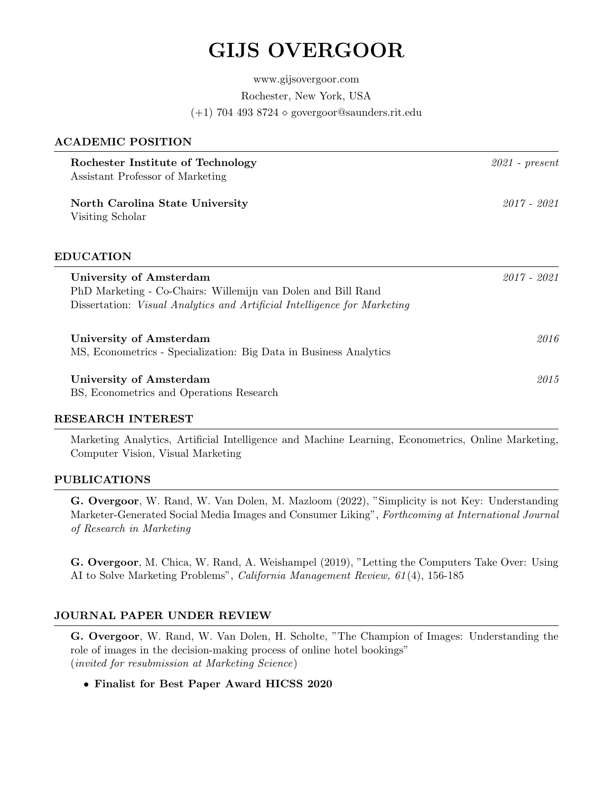# GIJS OVERGOOR

www.gijsovergoor.com Rochester, New York, USA  $(+1)$  704 493 8724  $\diamond$  govergoor@saunders.rit.edu

# ACADEMIC POSITION

| Rochester Institute of Technology<br>Assistant Professor of Marketing                                                                                               | $2021$ - present |
|---------------------------------------------------------------------------------------------------------------------------------------------------------------------|------------------|
| North Carolina State University<br>Visiting Scholar                                                                                                                 | 2017 - 2021      |
| <b>EDUCATION</b>                                                                                                                                                    |                  |
| University of Amsterdam<br>PhD Marketing - Co-Chairs: Willemijn van Dolen and Bill Rand<br>Dissertation: Visual Analytics and Artificial Intelligence for Marketing | $2017 - 2021$    |
| University of Amsterdam<br>MS, Econometrics - Specialization: Big Data in Business Analytics                                                                        | 2016             |
| University of Amsterdam<br>BS, Econometrics and Operations Research                                                                                                 | 2015             |

#### RESEARCH INTEREST

Marketing Analytics, Artificial Intelligence and Machine Learning, Econometrics, Online Marketing, Computer Vision, Visual Marketing

# PUBLICATIONS

G. Overgoor, W. Rand, W. Van Dolen, M. Mazloom (2022), "Simplicity is not Key: Understanding Marketer-Generated Social Media Images and Consumer Liking", Forthcoming at International Journal of Research in Marketing

G. Overgoor, M. Chica, W. Rand, A. Weishampel (2019), "Letting the Computers Take Over: Using AI to Solve Marketing Problems", California Management Review, 61 (4), 156-185

# JOURNAL PAPER UNDER REVIEW

G. Overgoor, W. Rand, W. Van Dolen, H. Scholte, "The Champion of Images: Understanding the role of images in the decision-making process of online hotel bookings" (invited for resubmission at Marketing Science)

# • Finalist for Best Paper Award HICSS 2020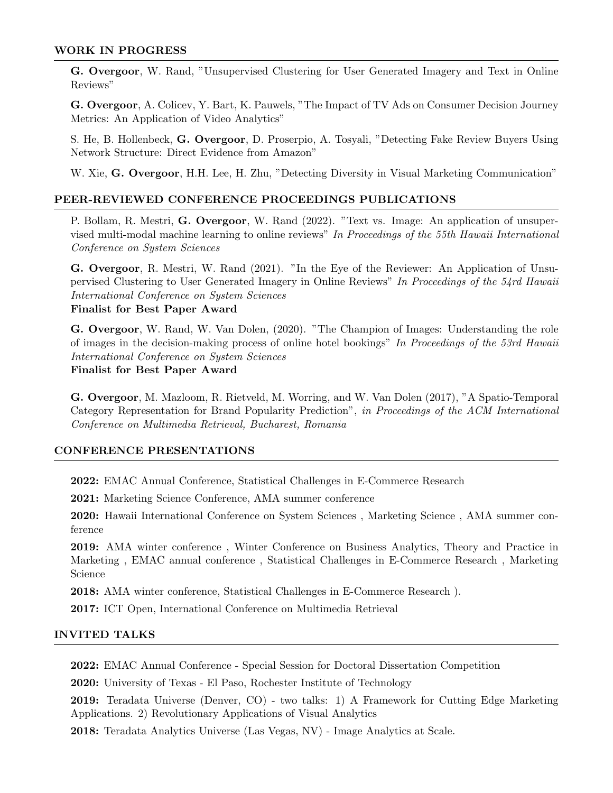#### WORK IN PROGRESS

G. Overgoor, W. Rand, "Unsupervised Clustering for User Generated Imagery and Text in Online Reviews"

G. Overgoor, A. Colicev, Y. Bart, K. Pauwels, "The Impact of TV Ads on Consumer Decision Journey Metrics: An Application of Video Analytics"

S. He, B. Hollenbeck, G. Overgoor, D. Proserpio, A. Tosyali, "Detecting Fake Review Buyers Using Network Structure: Direct Evidence from Amazon"

W. Xie, G. Overgoor, H.H. Lee, H. Zhu, "Detecting Diversity in Visual Marketing Communication"

# PEER-REVIEWED CONFERENCE PROCEEDINGS PUBLICATIONS

P. Bollam, R. Mestri, G. Overgoor, W. Rand (2022). "Text vs. Image: An application of unsupervised multi-modal machine learning to online reviews" In Proceedings of the 55th Hawaii International Conference on System Sciences

G. Overgoor, R. Mestri, W. Rand (2021). "In the Eye of the Reviewer: An Application of Unsupervised Clustering to User Generated Imagery in Online Reviews" In Proceedings of the 54rd Hawaii International Conference on System Sciences Finalist for Best Paper Award

G. Overgoor, W. Rand, W. Van Dolen, (2020). "The Champion of Images: Understanding the role of images in the decision-making process of online hotel bookings" In Proceedings of the 53rd Hawaii International Conference on System Sciences

Finalist for Best Paper Award

G. Overgoor, M. Mazloom, R. Rietveld, M. Worring, and W. Van Dolen (2017), "A Spatio-Temporal Category Representation for Brand Popularity Prediction", in Proceedings of the ACM International Conference on Multimedia Retrieval, Bucharest, Romania

### CONFERENCE PRESENTATIONS

2022: EMAC Annual Conference, Statistical Challenges in E-Commerce Research

2021: Marketing Science Conference, AMA summer conference

2020: Hawaii International Conference on System Sciences , Marketing Science , AMA summer conference

2019: AMA winter conference , Winter Conference on Business Analytics, Theory and Practice in Marketing , EMAC annual conference , Statistical Challenges in E-Commerce Research , Marketing Science

2018: AMA winter conference, Statistical Challenges in E-Commerce Research ).

2017: ICT Open, International Conference on Multimedia Retrieval

### INVITED TALKS

2022: EMAC Annual Conference - Special Session for Doctoral Dissertation Competition

2020: University of Texas - El Paso, Rochester Institute of Technology

2019: Teradata Universe (Denver, CO) - two talks: 1) A Framework for Cutting Edge Marketing Applications. 2) Revolutionary Applications of Visual Analytics

2018: Teradata Analytics Universe (Las Vegas, NV) - Image Analytics at Scale.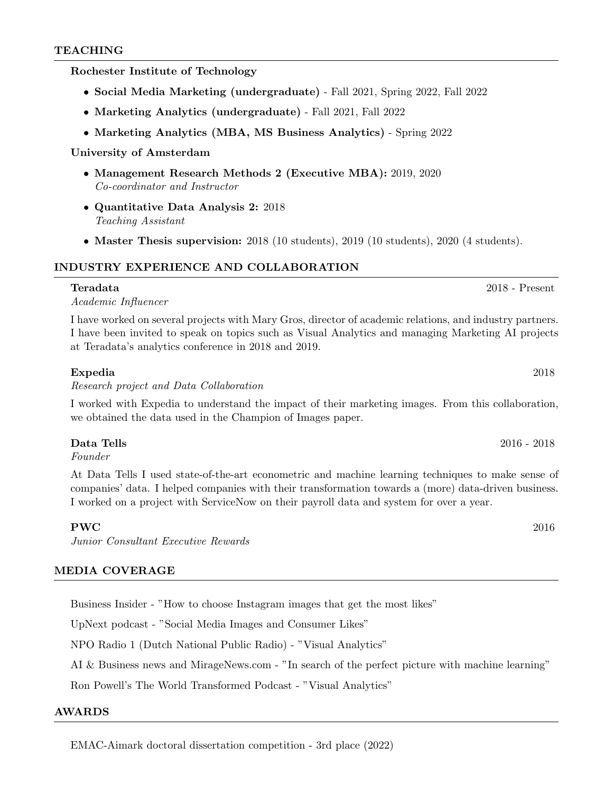#### TEACHING

Rochester Institute of Technology

- Social Media Marketing (undergraduate) Fall 2021, Spring 2022, Fall 2022
- Marketing Analytics (undergraduate) Fall 2021, Fall 2022
- Marketing Analytics (MBA, MS Business Analytics) Spring 2022

#### University of Amsterdam

- Management Research Methods 2 (Executive MBA): 2019, 2020 Co-coordinator and Instructor
- Quantitative Data Analysis 2: 2018 Teaching Assistant
- Master Thesis supervision: 2018 (10 students), 2019 (10 students), 2020 (4 students).

### INDUSTRY EXPERIENCE AND COLLABORATION

Academic Influencer

I have worked on several projects with Mary Gros, director of academic relations, and industry partners. I have been invited to speak on topics such as Visual Analytics and managing Marketing AI projects at Teradata's analytics conference in 2018 and 2019.

#### Expedia 2018

Research project and Data Collaboration

I worked with Expedia to understand the impact of their marketing images. From this collaboration, we obtained the data used in the Champion of Images paper.

Founder

At Data Tells I used state-of-the-art econometric and machine learning techniques to make sense of companies' data. I helped companies with their transformation towards a (more) data-driven business. I worked on a project with ServiceNow on their payroll data and system for over a year.

#### $\mathbf{PWC}$  2016

Junior Consultant Executive Rewards

#### MEDIA COVERAGE

Business Insider - "How to choose Instagram images that get the most likes"

UpNext podcast - "Social Media Images and Consumer Likes"

NPO Radio 1 (Dutch National Public Radio) - "Visual Analytics"

AI & Business news and MirageNews.com - "In search of the perfect picture with machine learning"

Ron Powell's The World Transformed Podcast - "Visual Analytics"

#### AWARDS

EMAC-Aimark doctoral dissertation competition - 3rd place (2022)

# Teradata 2018 - Present

Data Tells 2016 - 2018